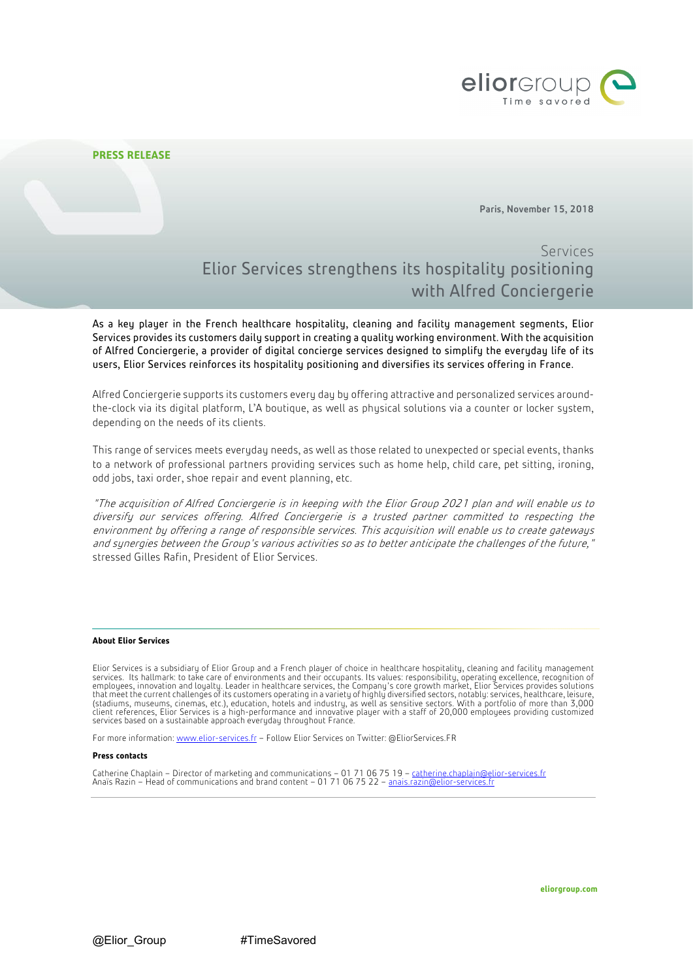

# **PRESS RELEASE**

Paris, November 15, 2018

# Services Elior Services strengthens its hospitality positioning with Alfred Conciergerie

As a key player in the French healthcare hospitality, cleaning and facility management segments, Elior Services provides its customers daily support in creating a quality working environment. With the acquisition of Alfred Conciergerie, a provider of digital concierge services designed to simplify the everyday life of its users, Elior Services reinforces its hospitality positioning and diversifies its services offering in France.

Alfred Conciergerie supports its customers every day by offering attractive and personalized services aroundthe-clock via its digital platform, L'A boutique, as well as physical solutions via a counter or locker system, depending on the needs of its clients.

This range of services meets everyday needs, as well as those related to unexpected or special events, thanks to a network of professional partners providing services such as home help, child care, pet sitting, ironing, odd jobs, taxi order, shoe repair and event planning, etc.

"The acquisition of Alfred Conciergerie is in keeping with the Elior Group 2021 plan and will enable us to diversify our services offering. Alfred Conciergerie is a trusted partner committed to respecting the environment by offering a range of responsible services. This acquisition will enable us to create gateways and synergies between the Group's various activities so as to better anticipate the challenges of the future," stressed Gilles Rafin, President of Elior Services.

## **About Elior Services**

Elior Services is a subsidiary of Elior Group and a French player of choice in healthcare hospitality, cleaning and facility management services. Its hallmark: to take care of environments and their occupants. Its values: responsibility, operating excellence, recognition of<br>employees, innovation and loyalty. Leader in healthcare services, the Company's cor that meet the current challenges of its customers operating in a variety of highly diversified sectors, notably: services, healthcare, leisure,<br>(stadiums, museums, cinemas, etc.), education, hotels and industry, as well as

For more information: [www.elior-services.fr](http://www.elior-services.fr/) - Follow Elior Services on Twitter[: @EliorServices.FR](https://twitter.com/Elior_France)

### **Press contacts**

Catherine Chaplain – Director of marketing and communications – 01 71 06 75 19 – <u>[catherine.chaplain@elior-services.fr](mailto:catherine.chaplain@elior-services.fr)</u><br>Anaïs Razin – Head of communications and brand content – 01 71 06 75 22 – <u>anais.razin@elior-services.</u>